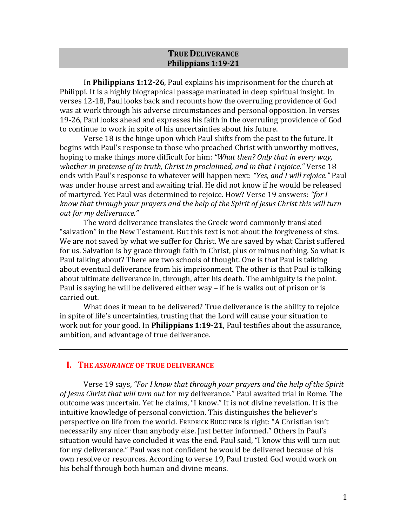### **TRUE DELIVERANCE Philippians 1:19-21**

In **Philippians 1:12-26**, Paul explains his imprisonment for the church at Philippi. It is a highly biographical passage marinated in deep spiritual insight. In verses 12-18, Paul looks back and recounts how the overruling providence of God was at work through his adverse circumstances and personal opposition. In verses 19-26, Paul looks ahead and expresses his faith in the overruling providence of God to continue to work in spite of his uncertainties about his future.

Verse 18 is the hinge upon which Paul shifts from the past to the future. It begins with Paul's response to those who preached Christ with unworthy motives, hoping to make things more difficult for him: *"What then? Only that in every way, whether in pretense of in truth, Christ in proclaimed, and in that I rejoice."* Verse 18 ends with Paul's response to whatever will happen next: *"Yes, and I will rejoice."* Paul was under house arrest and awaiting trial. He did not know if he would be released of martyred. Yet Paul was determined to rejoice. How? Verse 19 answers: *"for I know that through your prayers and the help of the Spirit of Jesus Christ this will turn out for my deliverance."*

The word deliverance translates the Greek word commonly translated "salvation" in the New Testament. But this text is not about the forgiveness of sins. We are not saved by what we suffer for Christ. We are saved by what Christ suffered for us. Salvation is by grace through faith in Christ, plus or minus nothing. So what is Paul talking about? There are two schools of thought. One is that Paul is talking about eventual deliverance from his imprisonment. The other is that Paul is talking about ultimate deliverance in, through, after his death. The ambiguity is the point. Paul is saying he will be delivered either way – if he is walks out of prison or is carried out.

What does it mean to be delivered? True deliverance is the ability to rejoice in spite of life's uncertainties, trusting that the Lord will cause your situation to work out for your good. In **Philippians 1:19-21**, Paul testifies about the assurance, ambition, and advantage of true deliverance.

# **I. THE** *ASSURANCE* **OF TRUE DELIVERANCE**

Verse 19 says, *"For I know that through your prayers and the help of the Spirit of Jesus Christ that will turn out* for my deliverance." Paul awaited trial in Rome. The outcome was uncertain. Yet he claims, "I know." It is not divine revelation. It is the intuitive knowledge of personal conviction. This distinguishes the believer's perspective on life from the world. FREDRICK BUECHNER is right: "A Christian isn't necessarily any nicer than anybody else. Just better informed." Others in Paul's situation would have concluded it was the end. Paul said, "I know this will turn out for my deliverance." Paul was not confident he would be delivered because of his own resolve or resources. According to verse 19, Paul trusted God would work on his behalf through both human and divine means.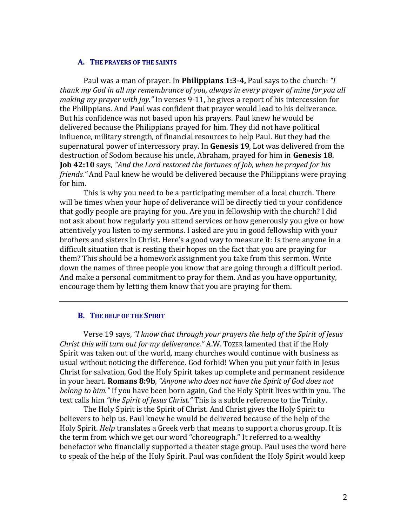#### **A. THE PRAYERS OF THE SAINTS**

Paul was a man of prayer. In **Philippians 1:3-4,** Paul says to the church: *"I thank my God in all my remembrance of you, always in every prayer of mine for you all making my prayer with joy."* In verses 9-11, he gives a report of his intercession for the Philippians. And Paul was confident that prayer would lead to his deliverance. But his confidence was not based upon his prayers. Paul knew he would be delivered because the Philippians prayed for him. They did not have political influence, military strength, of financial resources to help Paul. But they had the supernatural power of intercessory pray. In **Genesis 19**, Lot was delivered from the destruction of Sodom because his uncle, Abraham, prayed for him in **Genesis 18**. **Job 42:10** says, *"And the Lord restored the fortunes of Job, when he prayed for his friends."* And Paul knew he would be delivered because the Philippians were praying for him.

This is why you need to be a participating member of a local church. There will be times when your hope of deliverance will be directly tied to your confidence that godly people are praying for you. Are you in fellowship with the church? I did not ask about how regularly you attend services or how generously you give or how attentively you listen to my sermons. I asked are you in good fellowship with your brothers and sisters in Christ. Here's a good way to measure it: Is there anyone in a difficult situation that is resting their hopes on the fact that you are praying for them? This should be a homework assignment you take from this sermon. Write down the names of three people you know that are going through a difficult period. And make a personal commitment to pray for them. And as you have opportunity, encourage them by letting them know that you are praying for them.

## **B. THE HELP OF THE SPIRIT**

Verse 19 says, *"I know that through your prayers the help of the Spirit of Jesus Christ this will turn out for my deliverance."* A.W. TOZER lamented that if the Holy Spirit was taken out of the world, many churches would continue with business as usual without noticing the difference. God forbid! When you put your faith in Jesus Christ for salvation, God the Holy Spirit takes up complete and permanent residence in your heart. **Romans 8:9b**, *"Anyone who does not have the Spirit of God does not belong to him."* If you have been born again, God the Holy Spirit lives within you. The text calls him *"the Spirit of Jesus Christ."* This is a subtle reference to the Trinity.

The Holy Spirit is the Spirit of Christ. And Christ gives the Holy Spirit to believers to help us. Paul knew he would be delivered because of the help of the Holy Spirit. *Help* translates a Greek verb that means to support a chorus group. It is the term from which we get our word "choreograph." It referred to a wealthy benefactor who financially supported a theater stage group. Paul uses the word here to speak of the help of the Holy Spirit. Paul was confident the Holy Spirit would keep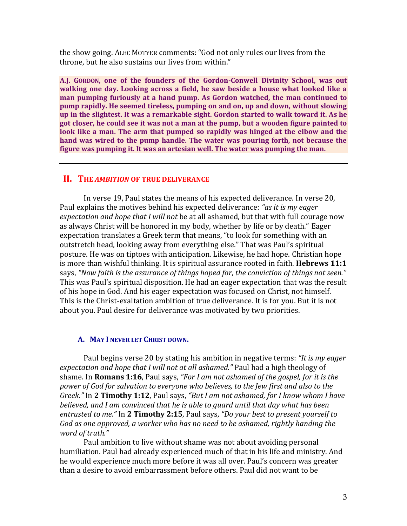the show going. ALEC MOTYER comments: "God not only rules our lives from the throne, but he also sustains our lives from within."

**A.J. GORDON, one of the founders of the Gordon-Conwell Divinity School, was out walking one day. Looking across a field, he saw beside a house what looked like a man pumping furiously at a hand pump. As Gordon watched, the man continued to pump rapidly. He seemed tireless, pumping on and on, up and down, without slowing up in the slightest. It was a remarkable sight. Gordon started to walk toward it. As he got closer, he could see it was not a man at the pump, but a wooden figure painted to look like a man. The arm that pumped so rapidly was hinged at the elbow and the hand was wired to the pump handle. The water was pouring forth, not because the figure was pumping it. It was an artesian well. The water was pumping the man.** 

#### **II. THE** *AMBITION* **OF TRUE DELIVERANCE**

In verse 19, Paul states the means of his expected deliverance. In verse 20, Paul explains the motives behind his expected deliverance: *"as it is my eager expectation and hope that I will not* be at all ashamed, but that with full courage now as always Christ will be honored in my body, whether by life or by death." Eager expectation translates a Greek term that means, "to look for something with an outstretch head, looking away from everything else." That was Paul's spiritual posture. He was on tiptoes with anticipation. Likewise, he had hope. Christian hope is more than wishful thinking. It is spiritual assurance rooted in faith. **Hebrews 11:1** says, *"Now faith is the assurance of things hoped for, the conviction of things not seen."* This was Paul's spiritual disposition. He had an eager expectation that was the result of his hope in God. And his eager expectation was focused on Christ, not himself. This is the Christ-exaltation ambition of true deliverance. It is for you. But it is not about you. Paul desire for deliverance was motivated by two priorities.

## **A. MAY I NEVER LET CHRIST DOWN.**

Paul begins verse 20 by stating his ambition in negative terms: *"It is my eager expectation and hope that I will not at all ashamed."* Paul had a high theology of shame. In **Romans 1:16**, Paul says, *"For I am not ashamed of the gospel, for it is the power of God for salvation to everyone who believes, to the Jew first and also to the Greek."* In **2 Timothy 1:12**, Paul says, *"But I am not ashamed, for I know whom I have believed, and I am convinced that he is able to guard until that day what has been entrusted to me."* In **2 Timothy 2:15**, Paul says, *"Do your best to present yourself to God as one approved, a worker who has no need to be ashamed, rightly handing the word of truth."*

Paul ambition to live without shame was not about avoiding personal humiliation. Paul had already experienced much of that in his life and ministry. And he would experience much more before it was all over. Paul's concern was greater than a desire to avoid embarrassment before others. Paul did not want to be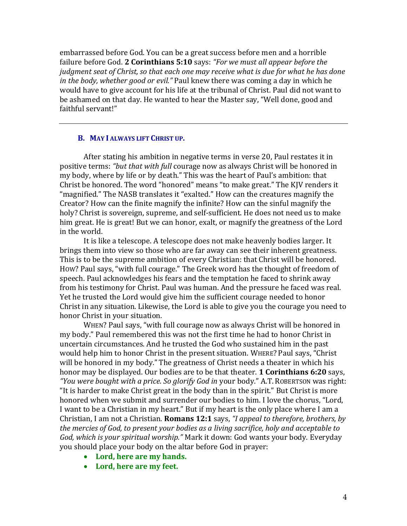embarrassed before God. You can be a great success before men and a horrible failure before God. **2 Corinthians 5:10** says: *"For we must all appear before the judgment seat of Christ, so that each one may receive what is due for what he has done in the body, whether good or evil."* Paul knew there was coming a day in which he would have to give account for his life at the tribunal of Christ. Paul did not want to be ashamed on that day. He wanted to hear the Master say, "Well done, good and faithful servant!"

#### **B. MAY I ALWAYS LIFT CHRIST UP.**

After stating his ambition in negative terms in verse 20, Paul restates it in positive terms: *"but that with full* courage now as always Christ will be honored in my body, where by life or by death." This was the heart of Paul's ambition: that Christ be honored. The word "honored" means "to make great." The KJV renders it "magnified." The NASB translates it "exalted." How can the creatures magnify the Creator? How can the finite magnify the infinite? How can the sinful magnify the holy? Christ is sovereign, supreme, and self-sufficient. He does not need us to make him great. He is great! But we can honor, exalt, or magnify the greatness of the Lord in the world.

It is like a telescope. A telescope does not make heavenly bodies larger. It brings them into view so those who are far away can see their inherent greatness. This is to be the supreme ambition of every Christian: that Christ will be honored. HOW? Paul says, "with full courage." The Greek word has the thought of freedom of speech. Paul acknowledges his fears and the temptation he faced to shrink away from his testimony for Christ. Paul was human. And the pressure he faced was real. Yet he trusted the Lord would give him the sufficient courage needed to honor Christ in any situation. Likewise, the Lord is able to give you the courage you need to honor Christ in your situation.

WHEN? Paul says, "with full courage now as always Christ will be honored in my body." Paul remembered this was not the first time he had to honor Christ in uncertain circumstances. And he trusted the God who sustained him in the past would help him to honor Christ in the present situation. WHERE? Paul says, "Christ will be honored in my body." The greatness of Christ needs a theater in which his honor may be displayed. Our bodies are to be that theater. **1 Corinthians 6:20** says, *"You were bought with a price. So glorify God in* your body." A.T. ROBERTSON was right: "It is harder to make Christ great in the body than in the spirit." But Christ is more honored when we submit and surrender our bodies to him. I love the chorus, "Lord, I want to be a Christian in my heart." But if my heart is the only place where I am a Christian, I am not a Christian. **Romans 12:1** says, *"I appeal to therefore, brothers, by the mercies of God, to present your bodies as a living sacrifice, holy and acceptable to God, which is your spiritual worship."* Mark it down: God wants your body. Everyday you should place your body on the altar before God in prayer:

- **Lord, here are my hands.**
- **Lord, here are my feet.**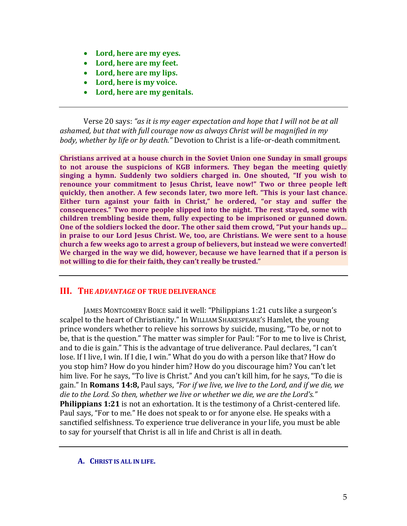- **Lord, here are my eyes.**
- **Lord, here are my feet.**
- **Lord, here are my lips.**
- **Lord, here is my voice.**
- **Lord, here are my genitals.**

Verse 20 says: *"as it is my eager expectation and hope that I will not be at all ashamed, but that with full courage now as always Christ will be magnified in my body, whether by life or by death."* Devotion to Christ is a life-or-death commitment.

**Christians arrived at a house church in the Soviet Union one Sunday in small groups to not arouse the suspicions of KGB informers. They began the meeting quietly singing a hymn. Suddenly two soldiers charged in. One shouted, "If you wish to renounce your commitment to Jesus Christ, leave now!" Two or three people left quickly, then another. A few seconds later, two more left. "This is your last chance. Either turn against your faith in Christ," he ordered, "or stay and suffer the consequences." Two more people slipped into the night. The rest stayed, some with children trembling beside them, fully expecting to be imprisoned or gunned down. One of the soldiers locked the door. The other said them crowd, "Put your hands up… in praise to our Lord Jesus Christ. We, too, are Christians. We were sent to a house church a few weeks ago to arrest a group of believers, but instead we were converted! We charged in the way we did, however, because we have learned that if a person is not willing to die for their faith, they can't really be trusted."** 

## **III. THE** *ADVANTAGE* **OF TRUE DELIVERANCE**

JAMES MONTGOMERY BOICE said it well: "Philippians 1:21 cuts like a surgeon's scalpel to the heart of Christianity." In WILLIAM SHAKESPEARE'S Hamlet, the young prince wonders whether to relieve his sorrows by suicide, musing, "To be, or not to be, that is the question." The matter was simpler for Paul: "For to me to live is Christ, and to die is gain." This is the advantage of true deliverance. Paul declares, "I can't lose. If I live, I win. If I die, I win." What do you do with a person like that? How do you stop him? How do you hinder him? How do you discourage him? You can't let him live. For he says, "To live is Christ." And you can't kill him, for he says, "To die is gain." In **Romans 14:8,** Paul says, *"For if we live, we live to the Lord, and if we die, we die to the Lord. So then, whether we live or whether we die, we are the Lord's."* **Philippians 1:21** is not an exhortation. It is the testimony of a Christ-centered life. Paul says, "For to me." He does not speak to or for anyone else. He speaks with a sanctified selfishness. To experience true deliverance in your life, you must be able to say for yourself that Christ is all in life and Christ is all in death.

#### **A. CHRIST IS ALL IN LIFE.**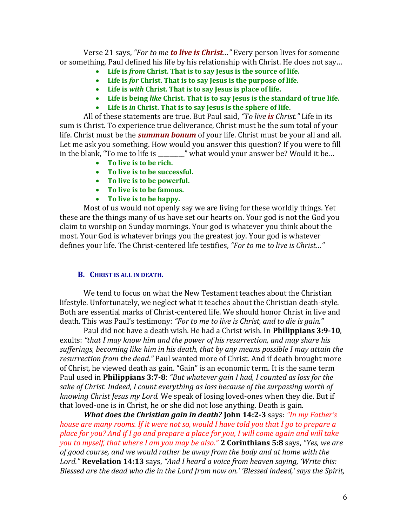Verse 21 says, *"For to me to live is Christ…"* Every person lives for someone or something. Paul defined his life by his relationship with Christ. He does not say…

- **Life is** *from* **Christ. That is to say Jesus is the source of life.**
- **Life is** *for* **Christ. That is to say Jesus is the purpose of life.**
- **Life is** *with* **Christ. That is to say Jesus is place of life.**
- **Life is being** *like* **Christ. That is to say Jesus is the standard of true life.**
- **Life is** *in* **Christ. That is to say Jesus is the sphere of life.**

All of these statements are true. But Paul said, *"To live is Christ."* Life in its sum is Christ. To experience true deliverance, Christ must be the sum total of your life. Christ must be the *summun bonum* of your life. Christ must be your all and all. Let me ask you something. How would you answer this question? If you were to fill in the blank, "To me to life is \_\_\_\_\_\_\_\_\_" what would your answer be? Would it be…

- **To live is to be rich.**
- **To live is to be successful.**
- **To live is to be powerful.**
- **To live is to be famous.**
- **To live is to be happy.**

Most of us would not openly say we are living for these worldly things. Yet these are the things many of us have set our hearts on. Your god is not the God you claim to worship on Sunday mornings. Your god is whatever you think about the most. Your God is whatever brings you the greatest joy. Your god is whatever defines your life. The Christ-centered life testifies, *"For to me to live is Christ…"*

## **B. CHRIST IS ALL IN DEATH.**

We tend to focus on what the New Testament teaches about the Christian lifestyle. Unfortunately, we neglect what it teaches about the Christian death-style. Both are essential marks of Christ-centered life. We should honor Christ in live and death. This was Paul's testimony: *"For to me to live is Christ, and to die is gain."*

Paul did not have a death wish. He had a Christ wish. In **Philippians 3:9-10**, exults: *"that I may know him and the power of his resurrection, and may share his sufferings, becoming like him in his death, that by any means possible I may attain the resurrection from the dead."* Paul wanted more of Christ. And if death brought more of Christ, he viewed death as gain. "Gain" is an economic term. It is the same term Paul used in **Philippians 3:7-8**: *"But whatever gain I had, I counted as loss for the sake of Christ. Indeed, I count everything as loss because of the surpassing worth of knowing Christ Jesus my Lord.* We speak of losing loved-ones when they die. But if that loved-one is in Christ, he or she did not lose anything. Death is gain.

*What does the Christian gain in death?* **John 14:2-3** says: *"In my Father's house are many rooms. If it were not so, would I have told you that I go to prepare a place for you? And if I go and prepare a place for you, I will come again and will take you to myself, that where I am you may be also."* **2 Corinthians 5:8** says, *"Yes, we are of good course, and we would rather be away from the body and at home with the Lord."* **Revelation 14:13** says, *"And I heard a voice from heaven saying, 'Write this: Blessed are the dead who die in the Lord from now on.' 'Blessed indeed,' says the Spirit,*